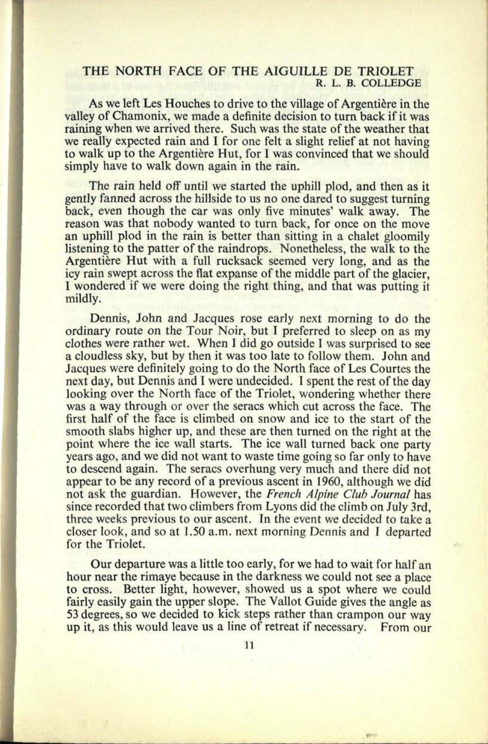## THE NORTH FACE OF THE AIGUILLE DE TRIOLET **R. L. B. COLLEDGE**

**13. 0655**

As we left Les Houches to drive to the village of Argentière in the valley of Chamonix, we made a definite decision to turn back if it was raining when we arrived there. Such was the state of the weather that we really expected rain and I for one felt a slight relief at not having to walk up to the Argentière Hut, for I was convinced that we should simply have to walk down again in the rain.

The rain held off until we started the uphill plod, and then as it gently fanned across the hillside to us no one dared to suggest turning back, even though the car was only five minutes' walk away. The reason was that nobody wanted to turn back, for once on the move an uphill plod in the rain is better than sitting in a chalet gloomily listening to the patter of the raindrops. Nonetheless, the walk to the Argentière Hut with a full rucksack seemed very long, and as the icy rain swept across the flat expanse of the middle part of the glacier, I wondered if we were doing the right thing, and that was putting it mildly.

Dennis, John and Jacques rose early next morning to do the ordinary route on the Tour Noir, but I preferred to sleep on as my clothes were rather wet. When I did go outside I was surprised to see <sup>a</sup>cloudless sky, but by then it was too late to follow them. John and Jacques were definitely going to do the North face of Les Courtes the next day, but Dennis and I were undecided. 1 spent the rest of the day looking over the North face of the Triolet, wondering whether there was a way through or over the seracs which cut across the face. The first half of the face is climbed on snow and ice to the start of the smooth slabs higher up, and these are then turned on the right at the point where the ice wall starts. The ice wall turned back one party years ago, and we did not want to waste time going so far only to have to descend again. The seracs overhung very much and there did not appear to be any record of <sup>a</sup>previous ascent in 1960, although we did not ask the guardian. However, the *French Alpine Club Journal* has since recorded that two climbers from Lyons did the climb on July 3rd, three weeks previous to our ascent. In the event we decided to take <sup>a</sup> closer look, and so at 1.50 a.m. next morning Dennis and I departed for the Triolet.

Our departure was a little too early, for we had to wait for half an hour near the rimaye because in the darkness we could not see a place to cross. Better light, however, showed us a spot where we could fairly easily gain the upper slope. The Vallot Guide gives the angle as 53 degrees, so we decided to kick steps rather than crampon our way up it, as this would leave us a line of retreat if necessary. From our

White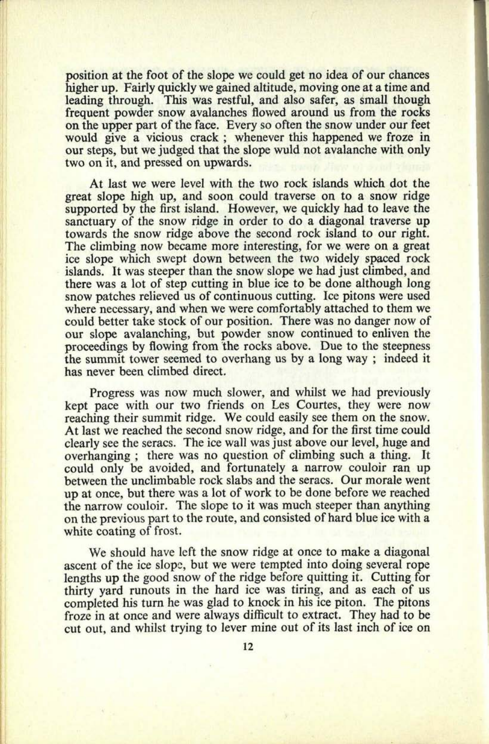position at the foot of the slope we could get no idea of our chances higher up. Fairly quickly we gained altitude, moving one at a time and leading through. This was restful, and also safer, as small though frequent powder snow avalanches flowed around us from the rocks on the upper part of the face. Every so often the snow under our feet would give a vicious crack; whenever this happened we froze in our steps, but we judged that the slope wuld not avalanche with only two on it, and pressed on upwards.

At last we were level with the two rock islands which dot the great slope high up, and soon could traverse on to a snow ridge supported by the first island. However, we quickly had to leave the sanctuary of the snow ridge in order to do a diagonal traverse up towards the snow ridge above the second rock island to our right. The climbing now became more interesting, for we were on a grea<sup>t</sup> ice slope which swept down between the two widely spaced rock islands. It was steeper than the snow slope we had just climbed, and there was a lot of step cutting in blue ice to be done although long snow patches relieved us of continuous cutting. Ice pitons were used where necessary, and when we were comfortably attached to them we could better take stock of our position. There was no danger now of our slope avalanching, but powder snow continued to enliven the proceedings by flowing from the rocks above. Due to the steepness the summit tower seemed to overhang us by a long way ; indeed it has never been climbed direct.

Progress was now much slower, and whilst we had previously kept pace with our two friends on Les Courtes, they were now reaching their summit ridge. We could easily see them on the snow. At last we reached the second snow ridge, and for the first time could clearly see the seracs. The ice wall was just above our level, huge and overhanging ; there was no question of climbing such a thing. It could only be avoided, and fortunately a narrow couloir ran up between the unclimbable rock slabs and the seracs. Our morale went up at once, but there was a lot of work to be done before we reached the narrow couloir. The slope to it was much steeper than anything on the previous part to the route, and consisted of hard blue ice with <sup>a</sup> white coating of frost.

We should have left the snow ridge at once to make a diagonal ascent of the ice slope, but we were tempted into doing several rope lengths up the good snow of the ridge before quitting it. Cutting for thirty yard runouts in the hard ice was tiring, and as each of us completed his turn he was glad to knock in his ice piton. The pitons froze in at once and were always difficult to extract. They had to be cut out, and whilst trying to lever mine out of its last inch of ice on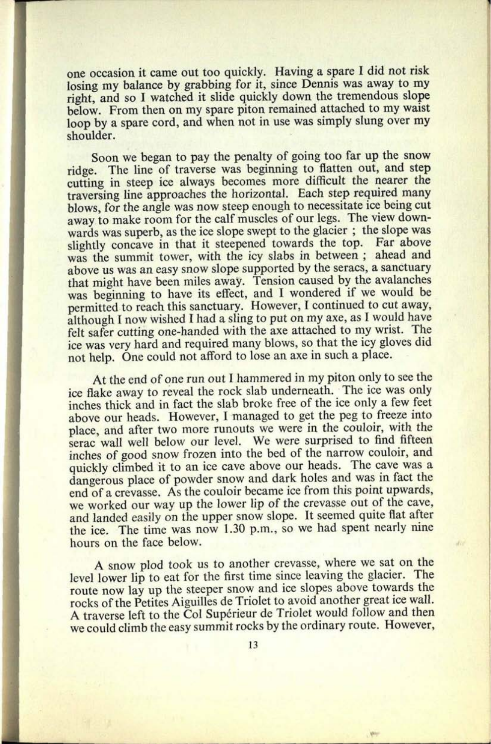one occasion it came out too quickly. Having a spare I did not risk losing my balance by grabbing for it, since Dennis was away to my right, and so I watched it slide quickly down the tremendous slope below. From then on my spare piton remained attached to my waist loop by a spare cord, and when not in use was simply slung over my shoulder.

**15. 0657**

Soon we began to pay the penalty of going too far up the snow ridge. The line of traverse was beginning to flatten out, and step cutting in steep ice always becomes more difficult the nearer the traversing line approaches the horizontal. Each step required many blows, for the angle was now steep enough to necessitate ice being cut away to make room for the calf muscles of our legs. The view downwards was superb, as the ice slope swept to the glacier; the slope was slightly concave in that it steepened towards the top. Far above was the summit tower, with the icy slabs in between ; ahead and above us was an easy snow slope supported by the seracs, a sanctuary that might have been miles away. Tension caused by the avalanches was beginning to have its effect, and I wondered if we would be permitted to reach this sanctuary. However, I continued to cut away, although I now wished I had a sling to put on my axe, as I would have felt safer cutting one-handed with the axe attached to my wrist. The ice was very hard and required many blows, so that the icy gloves did not help. One could not afford to lose an axe in such a place.

At the end of one run out I hammered in my piton only to see the ice flake away to reveal the rock slab underneath. The ice was only inches thick and in fact the slab broke free of the ice only a few feet above our heads. However, I managed to get the peg to freeze into <sup>p</sup>lace, and after two more runouts we were in the couloir, with the serac wall well below our level. We were surprised to find fifteen inches of good snow frozen into the bed of the narrow couloir, and quickly climbed it to an ice cave above our heads. The cave was a dangerous place of powder snow and dark holes and was in fact the end of a crevasse. As the couloir became ice from this point upwards, we worked our way up the lower lip of the crevasse out of the cave, and landed easily on the upper snow slope. It seemed quite flat after the ice. The time was now 1.30 p.m., so we had spent nearly nine hours on the face below.

<sup>A</sup>snow plod took us to another crevasse, where we sat on the level lower lip to eat for the first time since leaving the glacier. The route now lay up the steeper snow and ice slopes above towards the rocks of the Petites Aiguilles de Triolet to avoid another great ice wall. A traverse left to the Col Supérieur de Triolet would follow and then we could climb the easy summit rocks by the ordinary route. However,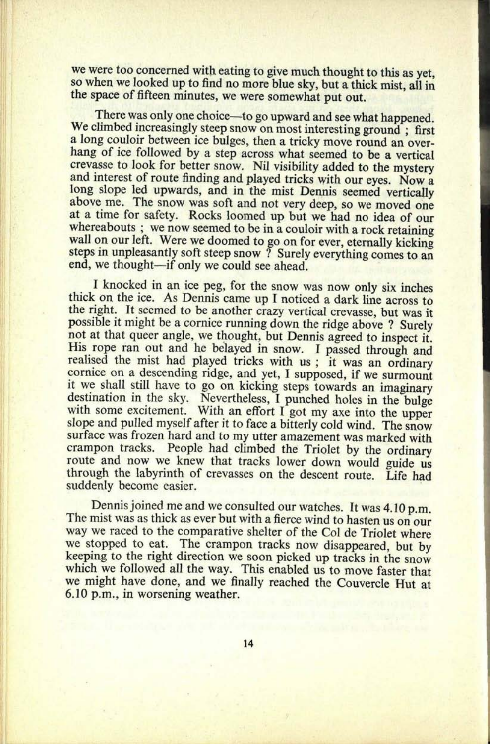we were too concerned with eating to give much thought to this as yet, so when we looked up to find no more blue sky, but a thick mist, all in the space of fifteen minutes, we were somewhat put out.

There was only one choice—to go upward and see what happened. We climbed increasingly steep snow on most interesting ground; first a long couloir between ice bulges, then a tricky move round an overhang of ice followed by a step across what seemed to be a vertical crevasse to look for better snow. Nil visibility added to the mystery and interest of route finding and played tricks with our eyes. Now a long slope led upwards, and in the mist Dennis seemed vertically above me. The snow was soft and not very deep, so we moved one at a time for safety. Rocks loomed up but we had no idea of our whereabouts ; we now seemed to be in a couloir with a rock retaining wall on our left. Were we doomed to go on for ever, eternally kicking steps in unpleasantly soft steep snow ? Surely everything comes to an end, we thought—if only we could see ahead.

I knocked in an ice peg, for the snow was now only six inches<br>thick on the ice. As Dennis came up I noticed a dark line across to<br>the right. It seemed to be another crazy vertical crevasse, but was it<br>possible it might be His rope ran out and he belayed in snow. I passed through and<br>realised the mist had played tricks with us; it was an ordinary<br>cornice on a descending ridge, and yet, I supposed, if we surmount<br>it we shall still have to go crampon tracks. People had climbed the Triolet by the ordinary route and now we knew that tracks lower down would guide us through the labyrinth of crevasses on the descent route. Life had suddenly become easier.

Dennis joined me and we consulted our watches. It was 4.10 p.m.<br>The mist was as thick as ever but with a fierce wind to hasten us on our way we raced to the comparative shelter of the Col de Triolet where we stopped to eat. The crampon tracks now disappeared, but by keeping to the right direction we soon picked up tracks in the snow which we followed all the way. This enabled us to move faster that we might have done, and we finally reached the Couvercle Hut at 6.10 p.m., in worsening weather.